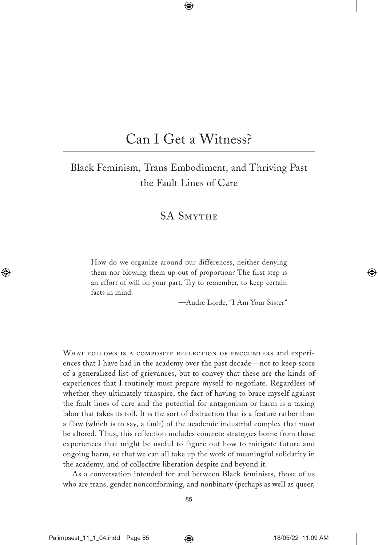# Can I Get a Witness?

# Black Feminism, Trans Embodiment, and Thriving Past the Fault Lines of Care

# SA Smythe

How do we organize around our differences, neither denying them nor blowing them up out of proportion? The first step is an effort of will on your part. Try to remember, to keep certain facts in mind.

—Audre Lorde, "I Am Your Sister"

WHAT FOLLOWS IS A COMPOSITE REFLECTION OF ENCOUNTERS and experiences that I have had in the academy over the past decade—not to keep score of a generalized list of grievances, but to convey that these are the kinds of experiences that I routinely must prepare myself to negotiate. Regardless of whether they ultimately transpire, the fact of having to brace myself against the fault lines of care and the potential for antagonism or harm is a taxing labor that takes its toll. It is the sort of distraction that is a feature rather than a flaw (which is to say, a fault) of the academic industrial complex that must be altered. Thus, this reflection includes concrete strategies borne from those experiences that might be useful to figure out how to mitigate future and ongoing harm, so that we can all take up the work of meaningful solidarity in the academy, and of collective liberation despite and beyond it.

As a conversation intended for and between Black feminists, those of us who are trans, gender nonconforming, and nonbinary (perhaps as well as queer,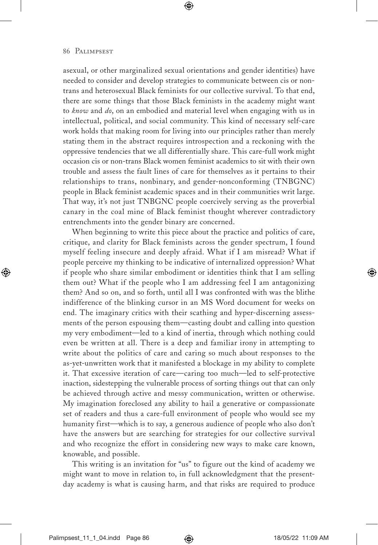asexual, or other marginalized sexual orientations and gender identities) have needed to consider and develop strategies to communicate between cis or nontrans and heterosexual Black feminists for our collective survival. To that end, there are some things that those Black feminists in the academy might want to *know* and *do*, on an embodied and material level when engaging with us in intellectual, political, and social community. This kind of necessary self-care work holds that making room for living into our principles rather than merely stating them in the abstract requires introspection and a reckoning with the oppressive tendencies that we all differentially share. This care-full work might occasion cis or non-trans Black women feminist academics to sit with their own trouble and assess the fault lines of care for themselves as it pertains to their relationships to trans, nonbinary, and gender-nonconforming (TNBGNC) people in Black feminist academic spaces and in their communities writ large. That way, it's not just TNBGNC people coercively serving as the proverbial canary in the coal mine of Black feminist thought wherever contradictory entrenchments into the gender binary are concerned.

When beginning to write this piece about the practice and politics of care, critique, and clarity for Black feminists across the gender spectrum, I found myself feeling insecure and deeply afraid. What if I am misread? What if people perceive my thinking to be indicative of internalized oppression? What if people who share similar embodiment or identities think that I am selling them out? What if the people who I am addressing feel I am antagonizing them? And so on, and so forth, until all I was confronted with was the blithe indifference of the blinking cursor in an MS Word document for weeks on end. The imaginary critics with their scathing and hyper-discerning assessments of the person espousing them—casting doubt and calling into question my very embodiment—led to a kind of inertia, through which nothing could even be written at all. There is a deep and familiar irony in attempting to write about the politics of care and caring so much about responses to the as-yet-unwritten work that it manifested a blockage in my ability to complete it. That excessive iteration of care—caring too much—led to self-protective inaction, sidestepping the vulnerable process of sorting things out that can only be achieved through active and messy communication, written or otherwise. My imagination foreclosed any ability to hail a generative or compassionate set of readers and thus a care-full environment of people who would see my humanity first—which is to say, a generous audience of people who also don't have the answers but are searching for strategies for our collective survival and who recognize the effort in considering new ways to make care known, knowable, and possible.

This writing is an invitation for "us" to figure out the kind of academy we might want to move in relation to, in full acknowledgment that the presentday academy is what is causing harm, and that risks are required to produce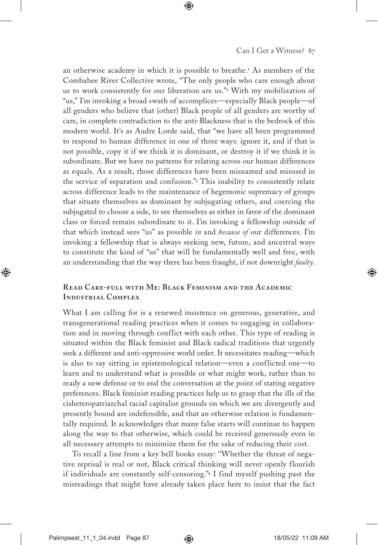an otherwise academy in which it is possible to breathe.<sup>1</sup> As members of the Combahee River Collective wrote, "The only people who care enough about us to work consistently for our liberation are us."<sup>2</sup> With my mobilization of "us," I'm invoking a broad swath of accomplices—especially Black people—of all genders who believe that (other) Black people of all genders are worthy of care, in complete contradiction to the anti-Blackness that is the bedrock of this modern world. It's as Audre Lorde said, that "we have all been programmed to respond to human difference in one of three ways: ignore it, and if that is not possible, copy it if we think it is dominant, or destroy it if we think it is subordinate. But we have no patterns for relating across our human differences as equals. As a result, those differences have been misnamed and misused in the service of separation and confusion."<sup>3</sup> This inability to consistently relate across difference leads to the maintenance of hegemonic supremacy of groups that situate themselves as dominant by subjugating others, and coercing the subjugated to choose a side, to see themselves as either in favor of the dominant class or forced remain subordinate to it. I'm invoking a fellowship outside of that which instead sees "us" as possible *in* and *because of* our differences. I'm invoking a fellowship that is always seeking new, future, and ancestral ways to constitute the kind of "us" that will be fundamentally well and free, with an understanding that the way there has been fraught, if not downright *faulty*.

# **Read Care-full with Me: Black Feminism and the Academic Industrial Complex**

What I am calling for is a renewed insistence on generous, generative, and transgenerational reading practices when it comes to engaging in collaboration and in moving through conflict with each other. This type of reading is situated within the Black feminist and Black radical traditions that urgently seek a different and anti-oppressive world order. It necessitates reading—which is also to say sitting in epistemological relation—even a conflicted one—to learn and to understand what is possible or what might work, rather than to ready a new defense or to end the conversation at the point of stating negative preferences. Black feminist reading practices help us to grasp that the ills of the cisheteropatriarchal racial capitalist grounds on which we are divergently and presently bound are indefensible, and that an otherwise relation is fundamentally required. It acknowledges that many false starts will continue to happen along the way to that otherwise, which could be received generously even in all necessary attempts to minimize them for the sake of reducing their cost.

To recall a line from a key bell hooks essay: "Whether the threat of negative reprisal is real or not, Black critical thinking will never openly flourish if individuals are constantly self-censoring."<sup>4</sup> I find myself pushing past the misreadings that might have already taken place here to insist that the fact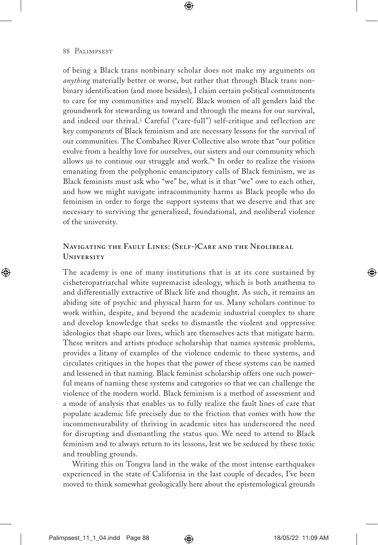of being a Black trans nonbinary scholar does not make my arguments on *anything* materially better or worse, but rather that through Black trans nonbinary identification (and more besides), I claim certain political commitments to care for my communities and myself. Black women of all genders laid the groundwork for stewarding us toward and through the means for our survival, and indeed our thrival.<sup>5</sup> Careful ("care-full") self-critique and reflection are key components of Black feminism and are necessary lessons for the survival of our communities. The Combahee River Collective also wrote that "our politics evolve from a healthy love for ourselves, our sisters and our community which allows us to continue our struggle and work."<sup>6</sup> In order to realize the visions emanating from the polyphonic emancipatory calls of Black feminism, we as Black feminists must ask who "we" be, what is it that "we" owe to each other, and how we might navigate intracommunity harms as Black people who do feminism in order to forge the support systems that we deserve and that are necessary to surviving the generalized, foundational, and neoliberal violence of the university.

# **Navigating the Fault Lines: (Self-)Care and the Neoliberal University**

The academy is one of many institutions that is at its core sustained by cisheteropatriarchal white supremacist ideology, which is both anathema to and differentially extractive of Black life and thought. As such, it remains an abiding site of psychic and physical harm for us. Many scholars continue to work within, despite, and beyond the academic industrial complex to share and develop knowledge that seeks to dismantle the violent and oppressive ideologies that shape our lives, which are themselves acts that mitigate harm. These writers and artists produce scholarship that names systemic problems, provides a litany of examples of the violence endemic to these systems, and circulates critiques in the hopes that the power of these systems can be named and lessened in that naming. Black feminist scholarship offers one such powerful means of naming these systems and categories so that we can challenge the violence of the modern world. Black feminism is a method of assessment and a mode of analysis that enables us to fully realize the fault lines of care that populate academic life precisely due to the friction that comes with how the incommensurability of thriving in academic sites has underscored the need for disrupting and dismantling the status quo. We need to attend to Black feminism and to always return to its lessons, lest we be seduced by these toxic and troubling grounds.

Writing this on Tongva land in the wake of the most intense earthquakes experienced in the state of California in the last couple of decades, I've been moved to think somewhat geologically here about the epistemological grounds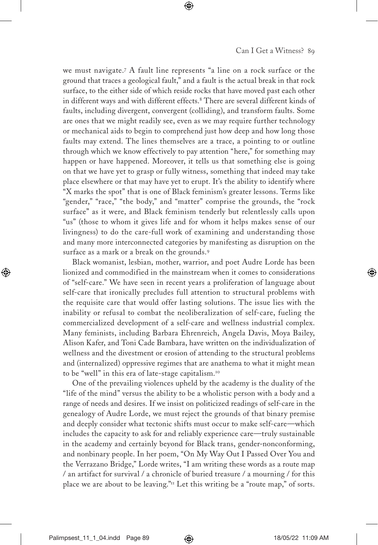we must navigate.<sup>7</sup> A fault line represents "a line on a rock surface or the ground that traces a geological fault," and a fault is the actual break in that rock surface, to the either side of which reside rocks that have moved past each other in different ways and with different effects.<sup>8</sup> There are several different kinds of faults, including divergent, convergent (colliding), and transform faults. Some are ones that we might readily see, even as we may require further technology or mechanical aids to begin to comprehend just how deep and how long those faults may extend. The lines themselves are a trace, a pointing to or outline through which we know effectively to pay attention "here," for something may happen or have happened. Moreover, it tells us that something else is going on that we have yet to grasp or fully witness, something that indeed may take place elsewhere or that may have yet to erupt. It's the ability to identify where "X marks the spot" that is one of Black feminism's greater lessons. Terms like "gender," "race," "the body," and "matter" comprise the grounds, the "rock surface" as it were, and Black feminism tenderly but relentlessly calls upon "us" (those to whom it gives life and for whom it helps makes sense of our livingness) to do the care-full work of examining and understanding those and many more interconnected categories by manifesting as disruption on the surface as a mark or a break on the grounds.<sup>9</sup>

Black womanist, lesbian, mother, warrior, and poet Audre Lorde has been lionized and commodified in the mainstream when it comes to considerations of "self-care." We have seen in recent years a proliferation of language about self-care that ironically precludes full attention to structural problems with the requisite care that would offer lasting solutions. The issue lies with the inability or refusal to combat the neoliberalization of self-care, fueling the commercialized development of a self-care and wellness industrial complex. Many feminists, including Barbara Ehrenreich, Angela Davis, Moya Bailey, Alison Kafer, and Toni Cade Bambara, have written on the individualization of wellness and the divestment or erosion of attending to the structural problems and (internalized) oppressive regimes that are anathema to what it might mean to be "well" in this era of late-stage capitalism.<sup>10</sup>

One of the prevailing violences upheld by the academy is the duality of the "life of the mind" versus the ability to be a wholistic person with a body and a range of needs and desires. If we insist on politicized readings of self-care in the genealogy of Audre Lorde, we must reject the grounds of that binary premise and deeply consider what tectonic shifts must occur to make self-care—which includes the capacity to ask for and reliably experience care—truly sustainable in the academy and certainly beyond for Black trans, gender-nonconforming, and nonbinary people. In her poem, "On My Way Out I Passed Over You and the Verrazano Bridge," Lorde writes, "I am writing these words as a route map / an artifact for survival / a chronicle of buried treasure / a mourning / for this place we are about to be leaving."<sup>11</sup> Let this writing be a "route map," of sorts.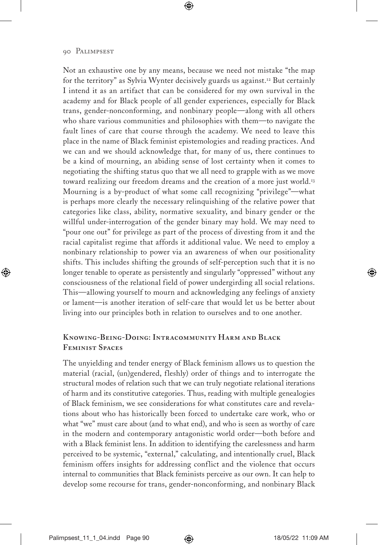Not an exhaustive one by any means, because we need not mistake "the map for the territory" as Sylvia Wynter decisively guards us against.<sup>12</sup> But certainly I intend it as an artifact that can be considered for my own survival in the academy and for Black people of all gender experiences, especially for Black trans, gender-nonconforming, and nonbinary people—along with all others who share various communities and philosophies with them—to navigate the fault lines of care that course through the academy. We need to leave this place in the name of Black feminist epistemologies and reading practices. And we can and we should acknowledge that, for many of us, there continues to be a kind of mourning, an abiding sense of lost certainty when it comes to negotiating the shifting status quo that we all need to grapple with as we move toward realizing our freedom dreams and the creation of a more just world.<sup>13</sup> Mourning is a by-product of what some call recognizing "privilege"—what is perhaps more clearly the necessary relinquishing of the relative power that categories like class, ability, normative sexuality, and binary gender or the willful under-interrogation of the gender binary may hold. We may need to "pour one out" for privilege as part of the process of divesting from it and the racial capitalist regime that affords it additional value. We need to employ a nonbinary relationship to power via an awareness of when our positionality shifts. This includes shifting the grounds of self-perception such that it is no longer tenable to operate as persistently and singularly "oppressed" without any consciousness of the relational field of power undergirding all social relations. This—allowing yourself to mourn and acknowledging any feelings of anxiety or lament—is another iteration of self-care that would let us be better about living into our principles both in relation to ourselves and to one another.

## **Knowing-Being-Doing: Intracommunity Harm and Black Feminist Spaces**

The unyielding and tender energy of Black feminism allows us to question the material (racial, (un)gendered, fleshly) order of things and to interrogate the structural modes of relation such that we can truly negotiate relational iterations of harm and its constitutive categories. Thus, reading with multiple genealogies of Black feminism, we see considerations for what constitutes care and revelations about who has historically been forced to undertake care work, who or what "we" must care about (and to what end), and who is seen as worthy of care in the modern and contemporary antagonistic world order—both before and with a Black feminist lens. In addition to identifying the carelessness and harm perceived to be systemic, "external," calculating, and intentionally cruel, Black feminism offers insights for addressing conflict and the violence that occurs internal to communities that Black feminists perceive as our own. It can help to develop some recourse for trans, gender-nonconforming, and nonbinary Black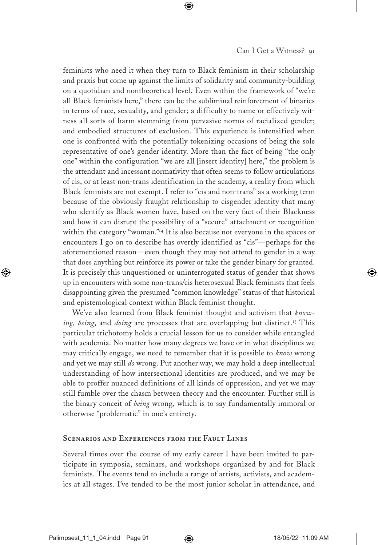feminists who need it when they turn to Black feminism in their scholarship and praxis but come up against the limits of solidarity and community-building on a quotidian and nontheoretical level. Even within the framework of "we're all Black feminists here," there can be the subliminal reinforcement of binaries in terms of race, sexuality, and gender; a difficulty to name or effectively witness all sorts of harm stemming from pervasive norms of racialized gender; and embodied structures of exclusion. This experience is intensified when one is confronted with the potentially tokenizing occasions of being the sole representative of one's gender identity. More than the fact of being "the only one" within the configuration "we are all [insert identity] here," the problem is the attendant and incessant normativity that often seems to follow articulations of cis, or at least non-trans identification in the academy, a reality from which Black feminists are not exempt. I refer to "cis and non-trans" as a working term because of the obviously fraught relationship to cisgender identity that many who identify as Black women have, based on the very fact of their Blackness and how it can disrupt the possibility of a "secure" attachment or recognition within the category "woman."<sup>14</sup> It is also because not everyone in the spaces or encounters I go on to describe has overtly identified as "cis"—perhaps for the aforementioned reason—even though they may not attend to gender in a way that does anything but reinforce its power or take the gender binary for granted. It is precisely this unquestioned or uninterrogated status of gender that shows up in encounters with some non-trans/cis heterosexual Black feminists that feels disappointing given the presumed "common knowledge" status of that historical and epistemological context within Black feminist thought.

We've also learned from Black feminist thought and activism that *knowing, being, and <i>doing* are processes that are overlapping but distinct.<sup>15</sup> This particular trichotomy holds a crucial lesson for us to consider while entangled with academia. No matter how many degrees we have or in what disciplines we may critically engage, we need to remember that it is possible to *know* wrong and yet we may still *do* wrong. Put another way, we may hold a deep intellectual understanding of how intersectional identities are produced, and we may be able to proffer nuanced definitions of all kinds of oppression, and yet we may still fumble over the chasm between theory and the encounter. Further still is the binary conceit of *being* wrong, which is to say fundamentally immoral or otherwise "problematic" in one's entirety.

#### **Scenarios and Experiences from the Fault Lines**

Several times over the course of my early career I have been invited to participate in symposia, seminars, and workshops organized by and for Black feminists. The events tend to include a range of artists, activists, and academics at all stages. I've tended to be the most junior scholar in attendance, and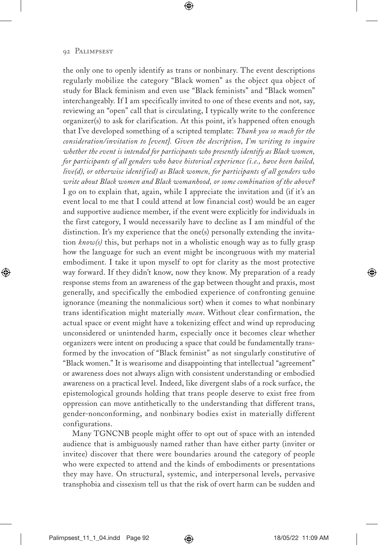the only one to openly identify as trans or nonbinary. The event descriptions regularly mobilize the category "Black women" as the object qua object of study for Black feminism and even use "Black feminists" and "Black women" interchangeably. If I am specifically invited to one of these events and not, say, reviewing an "open" call that is circulating, I typically write to the conference organizer(s) to ask for clarification. At this point, it's happened often enough that I've developed something of a scripted template: *Thank you so much for the consideration/invitation to [event]. Given the description, I'm writing to inquire whether the event is intended for participants who presently identify as Black women, for participants of all genders who have historical experience (i.e., have been hailed, live(d), or otherwise identified) as Black women, for participants of all genders who write about Black women and Black womanhood, or some combination of the above?* I go on to explain that, again, while I appreciate the invitation and (if it's an event local to me that I could attend at low financial cost) would be an eager and supportive audience member, if the event were explicitly for individuals in the first category, I would necessarily have to decline as I am mindful of the distinction. It's my experience that the one(s) personally extending the invitation *know(s)* this, but perhaps not in a wholistic enough way as to fully grasp how the language for such an event might be incongruous with my material embodiment. I take it upon myself to opt for clarity as the most protective way forward. If they didn't know, now they know. My preparation of a ready response stems from an awareness of the gap between thought and praxis, most generally, and specifically the embodied experience of confronting genuine ignorance (meaning the nonmalicious sort) when it comes to what nonbinary trans identification might materially *mean*. Without clear confirmation, the actual space or event might have a tokenizing effect and wind up reproducing unconsidered or unintended harm, especially once it becomes clear whether organizers were intent on producing a space that could be fundamentally transformed by the invocation of "Black feminist" as not singularly constitutive of "Black women." It is wearisome and disappointing that intellectual "agreement" or awareness does not always align with consistent understanding or embodied awareness on a practical level. Indeed, like divergent slabs of a rock surface, the epistemological grounds holding that trans people deserve to exist free from oppression can move antithetically to the understanding that different trans, gender-nonconforming, and nonbinary bodies exist in materially different configurations.

Many TGNCNB people might offer to opt out of space with an intended audience that is ambiguously named rather than have either party (inviter or invitee) discover that there were boundaries around the category of people who were expected to attend and the kinds of embodiments or presentations they may have. On structural, systemic, and interpersonal levels, pervasive transphobia and cissexism tell us that the risk of overt harm can be sudden and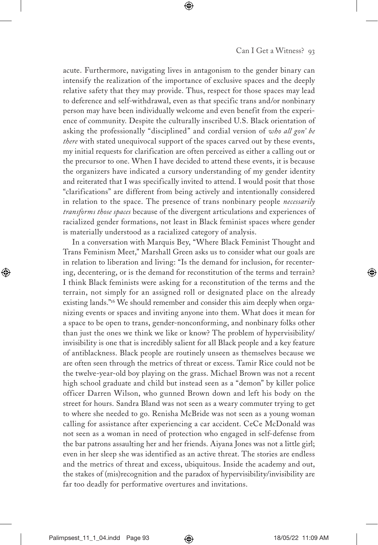acute. Furthermore, navigating lives in antagonism to the gender binary can intensify the realization of the importance of exclusive spaces and the deeply relative safety that they may provide. Thus, respect for those spaces may lead to deference and self-withdrawal, even as that specific trans and/or nonbinary person may have been individually welcome and even benefit from the experience of community. Despite the culturally inscribed U.S. Black orientation of asking the professionally "disciplined" and cordial version of *who all gon' be there* with stated unequivocal support of the spaces carved out by these events, my initial requests for clarification are often perceived as either a calling out or the precursor to one. When I have decided to attend these events, it is because the organizers have indicated a cursory understanding of my gender identity and reiterated that I was specifically invited to attend. I would posit that those "clarifications" are different from being actively and intentionally considered in relation to the space. The presence of trans nonbinary people *necessarily transforms those spaces* because of the divergent articulations and experiences of racialized gender formations, not least in Black feminist spaces where gender is materially understood as a racialized category of analysis.

In a conversation with Marquis Bey, "Where Black Feminist Thought and Trans Feminism Meet," Marshall Green asks us to consider what our goals are in relation to liberation and living: "Is the demand for inclusion, for recentering, decentering, or is the demand for reconstitution of the terms and terrain? I think Black feminists were asking for a reconstitution of the terms and the terrain, not simply for an assigned roll or designated place on the already existing lands."<sup>16</sup> We should remember and consider this aim deeply when organizing events or spaces and inviting anyone into them. What does it mean for a space to be open to trans, gender-nonconforming, and nonbinary folks other than just the ones we think we like or know? The problem of hypervisibility/ invisibility is one that is incredibly salient for all Black people and a key feature of antiblackness. Black people are routinely unseen as themselves because we are often seen through the metrics of threat or excess. Tamir Rice could not be the twelve-year-old boy playing on the grass. Michael Brown was not a recent high school graduate and child but instead seen as a "demon" by killer police officer Darren Wilson, who gunned Brown down and left his body on the street for hours. Sandra Bland was not seen as a weary commuter trying to get to where she needed to go. Renisha McBride was not seen as a young woman calling for assistance after experiencing a car accident. CeCe McDonald was not seen as a woman in need of protection who engaged in self-defense from the bar patrons assaulting her and her friends. Aiyana Jones was not a little girl; even in her sleep she was identified as an active threat. The stories are endless and the metrics of threat and excess, ubiquitous. Inside the academy and out, the stakes of (mis)recognition and the paradox of hypervisibility/invisibility are far too deadly for performative overtures and invitations.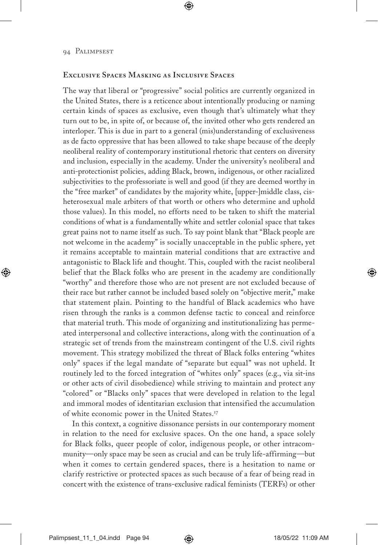## **Exclusive Spaces Masking as Inclusive Spaces**

The way that liberal or "progressive" social politics are currently organized in the United States, there is a reticence about intentionally producing or naming certain kinds of spaces as exclusive, even though that's ultimately what they turn out to be, in spite of, or because of, the invited other who gets rendered an interloper. This is due in part to a general (mis)understanding of exclusiveness as de facto oppressive that has been allowed to take shape because of the deeply neoliberal reality of contemporary institutional rhetoric that centers on diversity and inclusion, especially in the academy. Under the university's neoliberal and anti-protectionist policies, adding Black, brown, indigenous, or other racialized subjectivities to the professoriate is well and good (if they are deemed worthy in the "free market" of candidates by the majority white, [upper-]middle class, cisheterosexual male arbiters of that worth or others who determine and uphold those values). In this model, no efforts need to be taken to shift the material conditions of what is a fundamentally white and settler colonial space that takes great pains not to name itself as such. To say point blank that "Black people are not welcome in the academy" is socially unacceptable in the public sphere, yet it remains acceptable to maintain material conditions that are extractive and antagonistic to Black life and thought. This, coupled with the racist neoliberal belief that the Black folks who are present in the academy are conditionally "worthy" and therefore those who are not present are not excluded because of their race but rather cannot be included based solely on "objective merit," make that statement plain. Pointing to the handful of Black academics who have risen through the ranks is a common defense tactic to conceal and reinforce that material truth. This mode of organizing and institutionalizing has permeated interpersonal and collective interactions, along with the continuation of a strategic set of trends from the mainstream contingent of the U.S. civil rights movement. This strategy mobilized the threat of Black folks entering "whites only" spaces if the legal mandate of "separate but equal" was not upheld. It routinely led to the forced integration of "whites only" spaces (e.g., via sit-ins or other acts of civil disobedience) while striving to maintain and protect any "colored" or "Blacks only" spaces that were developed in relation to the legal and immoral modes of identitarian exclusion that intensified the accumulation of white economic power in the United States.<sup>17</sup>

In this context, a cognitive dissonance persists in our contemporary moment in relation to the need for exclusive spaces. On the one hand, a space solely for Black folks, queer people of color, indigenous people, or other intracommunity—only space may be seen as crucial and can be truly life-affirming—but when it comes to certain gendered spaces, there is a hesitation to name or clarify restrictive or protected spaces as such because of a fear of being read in concert with the existence of trans-exclusive radical feminists (TERFs) or other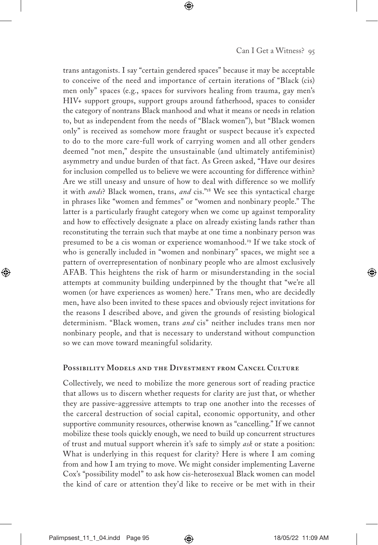trans antagonists. I say "certain gendered spaces" because it may be acceptable to conceive of the need and importance of certain iterations of "Black (cis) men only" spaces (e.g., spaces for survivors healing from trauma, gay men's HIV+ support groups, support groups around fatherhood, spaces to consider the category of nontrans Black manhood and what it means or needs in relation to, but as independent from the needs of "Black women"), but "Black women only" is received as somehow more fraught or suspect because it's expected to do to the more care-full work of carrying women and all other genders deemed "not men," despite the unsustainable (and ultimately antifeminist) asymmetry and undue burden of that fact. As Green asked, "Have our desires for inclusion compelled us to believe we were accounting for difference within? Are we still uneasy and unsure of how to deal with difference so we mollify it with *ands*? Black women, trans, *and* cis."<sup>18</sup> We see this syntactical charge in phrases like "women and femmes" or "women and nonbinary people." The latter is a particularly fraught category when we come up against temporality and how to effectively designate a place on already existing lands rather than reconstituting the terrain such that maybe at one time a nonbinary person was presumed to be a cis woman or experience womanhood.<sup>19</sup> If we take stock of who is generally included in "women and nonbinary" spaces, we might see a pattern of overrepresentation of nonbinary people who are almost exclusively AFAB. This heightens the risk of harm or misunderstanding in the social attempts at community building underpinned by the thought that "we're all women (or have experiences as women) here." Trans men, who are decidedly men, have also been invited to these spaces and obviously reject invitations for the reasons I described above, and given the grounds of resisting biological determinism. "Black women, trans *and* cis" neither includes trans men nor nonbinary people, and that is necessary to understand without compunction so we can move toward meaningful solidarity.

### **Possibility Models and the Divestment from Cancel Culture**

Collectively, we need to mobilize the more generous sort of reading practice that allows us to discern whether requests for clarity are just that, or whether they are passive-aggressive attempts to trap one another into the recesses of the carceral destruction of social capital, economic opportunity, and other supportive community resources, otherwise known as "cancelling." If we cannot mobilize these tools quickly enough, we need to build up concurrent structures of trust and mutual support wherein it's safe to simply *ask* or state a position: What is underlying in this request for clarity? Here is where I am coming from and how I am trying to move. We might consider implementing Laverne Cox's "possibility model" to ask how cis-heterosexual Black women can model the kind of care or attention they'd like to receive or be met with in their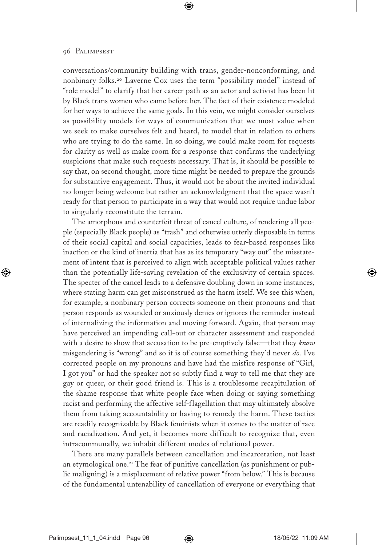conversations/community building with trans, gender-nonconforming, and nonbinary folks.<sup>20</sup> Laverne Cox uses the term "possibility model" instead of "role model" to clarify that her career path as an actor and activist has been lit by Black trans women who came before her. The fact of their existence modeled for her ways to achieve the same goals. In this vein, we might consider ourselves as possibility models for ways of communication that we most value when we seek to make ourselves felt and heard, to model that in relation to others who are trying to do the same. In so doing, we could make room for requests for clarity as well as make room for a response that confirms the underlying suspicions that make such requests necessary. That is, it should be possible to say that, on second thought, more time might be needed to prepare the grounds for substantive engagement. Thus, it would not be about the invited individual no longer being welcome but rather an acknowledgment that the space wasn't ready for that person to participate in a way that would not require undue labor to singularly reconstitute the terrain.

The amorphous and counterfeit threat of cancel culture, of rendering all people (especially Black people) as "trash" and otherwise utterly disposable in terms of their social capital and social capacities, leads to fear-based responses like inaction or the kind of inertia that has as its temporary "way out" the misstatement of intent that is perceived to align with acceptable political values rather than the potentially life-saving revelation of the exclusivity of certain spaces. The specter of the cancel leads to a defensive doubling down in some instances, where stating harm can get misconstrued as the harm itself. We see this when, for example, a nonbinary person corrects someone on their pronouns and that person responds as wounded or anxiously denies or ignores the reminder instead of internalizing the information and moving forward. Again, that person may have perceived an impending call-out or character assessment and responded with a desire to show that accusation to be pre-emptively false—that they *know* misgendering is "wrong" and so it is of course something they'd never *do*. I've corrected people on my pronouns and have had the misfire response of "Girl, I got you" or had the speaker not so subtly find a way to tell me that they are gay or queer, or their good friend is. This is a troublesome recapitulation of the shame response that white people face when doing or saying something racist and performing the affective self-flagellation that may ultimately absolve them from taking accountability or having to remedy the harm. These tactics are readily recognizable by Black feminists when it comes to the matter of race and racialization. And yet, it becomes more difficult to recognize that, even intracommunally, we inhabit different modes of relational power.

There are many parallels between cancellation and incarceration, not least an etymological one.<sup>21</sup> The fear of punitive cancellation (as punishment or public maligning) is a misplacement of relative power "from below." This is because of the fundamental untenability of cancellation of everyone or everything that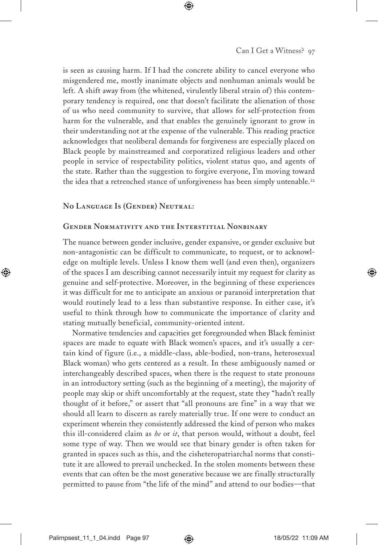is seen as causing harm. If I had the concrete ability to cancel everyone who misgendered me, mostly inanimate objects and nonhuman animals would be left. A shift away from (the whitened, virulently liberal strain of) this contemporary tendency is required, one that doesn't facilitate the alienation of those of us who need community to survive, that allows for self-protection from harm for the vulnerable, and that enables the genuinely ignorant to grow in their understanding not at the expense of the vulnerable. This reading practice acknowledges that neoliberal demands for forgiveness are especially placed on Black people by mainstreamed and corporatized religious leaders and other people in service of respectability politics, violent status quo, and agents of the state. Rather than the suggestion to forgive everyone, I'm moving toward the idea that a retrenched stance of unforgiveness has been simply untenable.<sup>22</sup>

### **No Language Is (Gender) Neutral:**

#### **Gender Normativity and the Interstitial Nonbinary**

The nuance between gender inclusive, gender expansive, or gender exclusive but non-antagonistic can be difficult to communicate, to request, or to acknowledge on multiple levels. Unless I know them well (and even then), organizers of the spaces I am describing cannot necessarily intuit my request for clarity as genuine and self-protective. Moreover, in the beginning of these experiences it was difficult for me to anticipate an anxious or paranoid interpretation that would routinely lead to a less than substantive response. In either case, it's useful to think through how to communicate the importance of clarity and stating mutually beneficial, community-oriented intent.

Normative tendencies and capacities get foregrounded when Black feminist spaces are made to equate with Black women's spaces, and it's usually a certain kind of figure (i.e., a middle-class, able-bodied, non-trans, heterosexual Black woman) who gets centered as a result. In these ambiguously named or interchangeably described spaces, when there is the request to state pronouns in an introductory setting (such as the beginning of a meeting), the majority of people may skip or shift uncomfortably at the request, state they "hadn't really thought of it before," or assert that "all pronouns are fine" in a way that we should all learn to discern as rarely materially true. If one were to conduct an experiment wherein they consistently addressed the kind of person who makes this ill-considered claim as *he* or *it*, that person would, without a doubt, feel some type of way. Then we would see that binary gender is often taken for granted in spaces such as this, and the cisheteropatriarchal norms that constitute it are allowed to prevail unchecked. In the stolen moments between these events that can often be the most generative because we are finally structurally permitted to pause from "the life of the mind" and attend to our bodies—that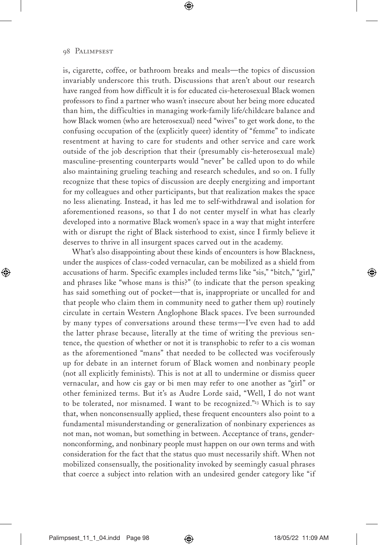is, cigarette, coffee, or bathroom breaks and meals—the topics of discussion invariably underscore this truth. Discussions that aren't about our research have ranged from how difficult it is for educated cis-heterosexual Black women professors to find a partner who wasn't insecure about her being more educated than him, the difficulties in managing work-family life/childcare balance and how Black women (who are heterosexual) need "wives" to get work done, to the confusing occupation of the (explicitly queer) identity of "femme" to indicate resentment at having to care for students and other service and care work outside of the job description that their (presumably cis-heterosexual male) masculine-presenting counterparts would "never" be called upon to do while also maintaining grueling teaching and research schedules, and so on. I fully recognize that these topics of discussion are deeply energizing and important for my colleagues and other participants, but that realization makes the space no less alienating. Instead, it has led me to self-withdrawal and isolation for aforementioned reasons, so that I do not center myself in what has clearly developed into a normative Black women's space in a way that might interfere with or disrupt the right of Black sisterhood to exist, since I firmly believe it deserves to thrive in all insurgent spaces carved out in the academy.

What's also disappointing about these kinds of encounters is how Blackness, under the auspices of class-coded vernacular, can be mobilized as a shield from accusations of harm. Specific examples included terms like "sis," "bitch," "girl," and phrases like "whose mans is this?" (to indicate that the person speaking has said something out of pocket—that is, inappropriate or uncalled for and that people who claim them in community need to gather them up) routinely circulate in certain Western Anglophone Black spaces. I've been surrounded by many types of conversations around these terms—I've even had to add the latter phrase because, literally at the time of writing the previous sentence, the question of whether or not it is transphobic to refer to a cis woman as the aforementioned "mans" that needed to be collected was vociferously up for debate in an internet forum of Black women and nonbinary people (not all explicitly feminists). This is not at all to undermine or dismiss queer vernacular, and how cis gay or bi men may refer to one another as "girl" or other feminized terms. But it's as Audre Lorde said, "Well, I do not want to be tolerated, nor misnamed. I want to be recognized."<sup>23</sup> Which is to say that, when nonconsensually applied, these frequent encounters also point to a fundamental misunderstanding or generalization of nonbinary experiences as not man, not woman, but something in between. Acceptance of trans, gendernonconforming, and nonbinary people must happen on our own terms and with consideration for the fact that the status quo must necessarily shift. When not mobilized consensually, the positionality invoked by seemingly casual phrases that coerce a subject into relation with an undesired gender category like "if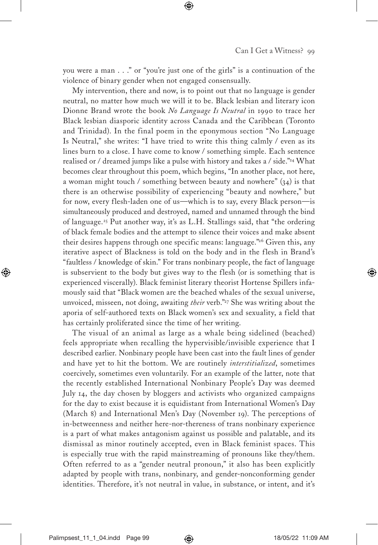you were a man . . ." or "you're just one of the girls" is a continuation of the violence of binary gender when not engaged consensually.

My intervention, there and now, is to point out that no language is gender neutral, no matter how much we will it to be. Black lesbian and literary icon Dionne Brand wrote the book *No Language Is Neutral* in 1990 to trace her Black lesbian diasporic identity across Canada and the Caribbean (Toronto and Trinidad). In the final poem in the eponymous section "No Language Is Neutral," she writes: "I have tried to write this thing calmly / even as its lines burn to a close. I have come to know / something simple. Each sentence realised or / dreamed jumps like a pulse with history and takes a / side."<sup>24</sup> What becomes clear throughout this poem, which begins, "In another place, not here, a woman might touch / something between beauty and nowhere"  $(34)$  is that there is an otherwise possibility of experiencing "beauty and nowhere," but for now, every flesh-laden one of us—which is to say, every Black person—is simultaneously produced and destroyed, named and unnamed through the bind of language.<sup>25</sup> Put another way, it's as L.H. Stallings said, that "the ordering of black female bodies and the attempt to silence their voices and make absent their desires happens through one specific means: language."<sup>26</sup> Given this, any iterative aspect of Blackness is told on the body and in the flesh in Brand's "faultless / knowledge of skin." For trans nonbinary people, the fact of language is subservient to the body but gives way to the flesh (or is something that is experienced viscerally). Black feminist literary theorist Hortense Spillers infamously said that "Black women are the beached whales of the sexual universe, unvoiced, misseen, not doing, awaiting *their* verb."<sup>27</sup> She was writing about the aporia of self-authored texts on Black women's sex and sexuality, a field that has certainly proliferated since the time of her writing.

The visual of an animal as large as a whale being sidelined (beached) feels appropriate when recalling the hypervisible/invisible experience that I described earlier. Nonbinary people have been cast into the fault lines of gender and have yet to hit the bottom. We are routinely *interstitialized*, sometimes coercively, sometimes even voluntarily. For an example of the latter, note that the recently established International Nonbinary People's Day was deemed July 14, the day chosen by bloggers and activists who organized campaigns for the day to exist because it is equidistant from International Women's Day (March 8) and International Men's Day (November 19). The perceptions of in-betweenness and neither here-nor-thereness of trans nonbinary experience is a part of what makes antagonism against us possible and palatable, and its dismissal as minor routinely accepted, even in Black feminist spaces. This is especially true with the rapid mainstreaming of pronouns like they/them. Often referred to as a "gender neutral pronoun," it also has been explicitly adapted by people with trans, nonbinary, and gender-nonconforming gender identities. Therefore, it's not neutral in value, in substance, or intent, and it's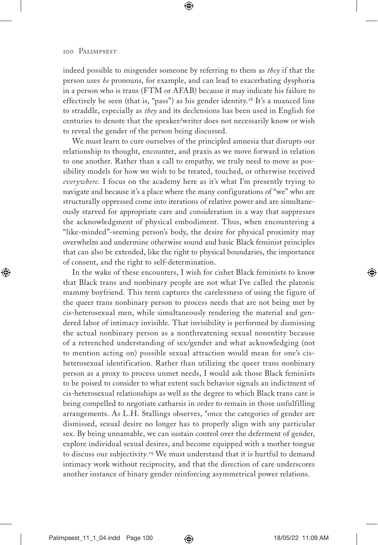indeed possible to misgender someone by referring to them as *they* if that the person uses *he* pronouns, for example, and can lead to exacerbating dysphoria in a person who is trans (FTM or AFAB) because it may indicate his failure to effectively be seen (that is, "pass") as his gender identity.<sup>28</sup> It's a nuanced line to straddle, especially as *they* and its declensions has been used in English for centuries to denote that the speaker/writer does not necessarily know or wish to reveal the gender of the person being discussed.

We must learn to cure ourselves of the principled amnesia that disrupts our relationship to thought, encounter, and praxis as we move forward in relation to one another. Rather than a call to empathy, we truly need to move as possibility models for how we wish to be treated, touched, or otherwise received *everywhere*. I focus on the academy here as it's what I'm presently trying to navigate and because it's a place where the many configurations of "we" who are structurally oppressed come into iterations of relative power and are simultaneously starved for appropriate care and consideration in a way that suppresses the acknowledgment of physical embodiment. Thus, when encountering a "like-minded"-seeming person's body, the desire for physical proximity may overwhelm and undermine otherwise sound and basic Black feminist principles that can also be extended, like the right to physical boundaries, the importance of consent, and the right to self-determination.

In the wake of these encounters, I wish for cishet Black feminists to know that Black trans and nonbinary people are not what I've called the platonic mammy boyfriend. This term captures the carelessness of using the figure of the queer trans nonbinary person to process needs that are not being met by cis-heterosexual men, while simultaneously rendering the material and gendered labor of intimacy invisible. That invisibility is performed by dismissing the actual nonbinary person as a nonthreatening sexual nonentity because of a retrenched understanding of sex/gender and what acknowledging (not to mention acting on) possible sexual attraction would mean for one's cisheterosexual identification. Rather than utilizing the queer trans nonbinary person as a proxy to process unmet needs, I would ask those Black feminists to be poised to consider to what extent such behavior signals an indictment of cis-heterosexual relationships as well as the degree to which Black trans care is being compelled to negotiate catharsis in order to remain in those unfulfilling arrangements. As L.H. Stallings observes, "once the categories of gender are dismissed, sexual desire no longer has to properly align with any particular sex. By being unnamable, we can sustain control over the deferment of gender, explore individual sexual desires, and become equipped with a mother tongue to discuss our subjectivity.<sup>29</sup> We must understand that it is hurtful to demand intimacy work without reciprocity, and that the direction of care underscores another instance of binary gender reinforcing asymmetrical power relations.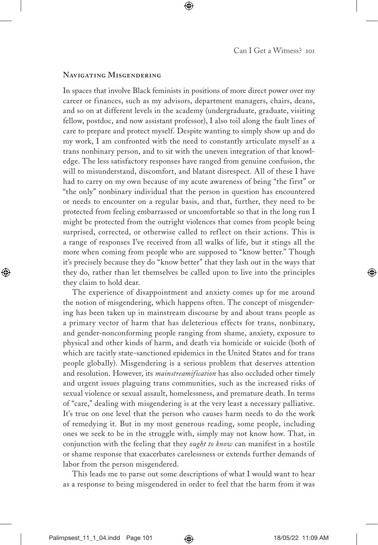#### **Navigating Misgendering**

In spaces that involve Black feminists in positions of more direct power over my career or finances, such as my advisors, department managers, chairs, deans, and so on at different levels in the academy (undergraduate, graduate, visiting fellow, postdoc, and now assistant professor), I also toil along the fault lines of care to prepare and protect myself. Despite wanting to simply show up and do my work, I am confronted with the need to constantly articulate myself as a trans nonbinary person, and to sit with the uneven integration of that knowledge. The less satisfactory responses have ranged from genuine confusion, the will to misunderstand, discomfort, and blatant disrespect. All of these I have had to carry on my own because of my acute awareness of being "the first" or "the only" nonbinary individual that the person in question has encountered or needs to encounter on a regular basis, and that, further, they need to be protected from feeling embarrassed or uncomfortable so that in the long run I might be protected from the outright violences that comes from people being surprised, corrected, or otherwise called to reflect on their actions. This is a range of responses I've received from all walks of life, but it stings all the more when coming from people who are supposed to "know better." Though it's precisely because they do "know better" that they lash out in the ways that they do, rather than let themselves be called upon to live into the principles they claim to hold dear.

The experience of disappointment and anxiety comes up for me around the notion of misgendering, which happens often. The concept of misgendering has been taken up in mainstream discourse by and about trans people as a primary vector of harm that has deleterious effects for trans, nonbinary, and gender-nonconforming people ranging from shame, anxiety, exposure to physical and other kinds of harm, and death via homicide or suicide (both of which are tacitly state-sanctioned epidemics in the United States and for trans people globally). Misgendering is a serious problem that deserves attention and resolution. However, its *mainstreamification* has also occluded other timely and urgent issues plaguing trans communities, such as the increased risks of sexual violence or sexual assault, homelessness, and premature death. In terms of "care," dealing with misgendering is at the very least a necessary palliative. It's true on one level that the person who causes harm needs to do the work of remedying it. But in my most generous reading, some people, including ones we seek to be in the struggle with, simply may not know how. That, in conjunction with the feeling that they *ought to know* can manifest in a hostile or shame response that exacerbates carelessness or extends further demands of labor from the person misgendered.

This leads me to parse out some descriptions of what I would want to hear as a response to being misgendered in order to feel that the harm from it was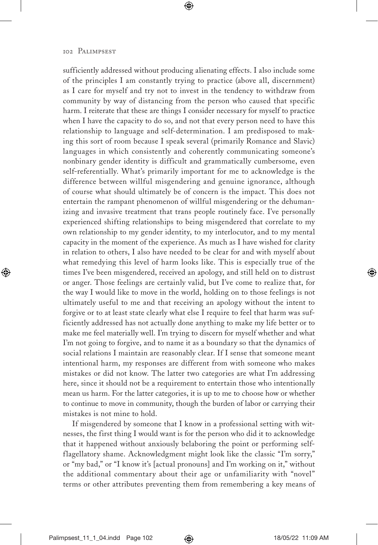sufficiently addressed without producing alienating effects. I also include some of the principles I am constantly trying to practice (above all, discernment) as I care for myself and try not to invest in the tendency to withdraw from community by way of distancing from the person who caused that specific harm. I reiterate that these are things I consider necessary for myself to practice when I have the capacity to do so, and not that every person need to have this relationship to language and self-determination. I am predisposed to making this sort of room because I speak several (primarily Romance and Slavic) languages in which consistently and coherently communicating someone's nonbinary gender identity is difficult and grammatically cumbersome, even self-referentially. What's primarily important for me to acknowledge is the difference between willful misgendering and genuine ignorance, although of course what should ultimately be of concern is the impact. This does not entertain the rampant phenomenon of willful misgendering or the dehumanizing and invasive treatment that trans people routinely face. I've personally experienced shifting relationships to being misgendered that correlate to my own relationship to my gender identity, to my interlocutor, and to my mental capacity in the moment of the experience. As much as I have wished for clarity in relation to others, I also have needed to be clear for and with myself about what remedying this level of harm looks like. This is especially true of the times I've been misgendered, received an apology, and still held on to distrust or anger. Those feelings are certainly valid, but I've come to realize that, for the way I would like to move in the world, holding on to those feelings is not ultimately useful to me and that receiving an apology without the intent to forgive or to at least state clearly what else I require to feel that harm was sufficiently addressed has not actually done anything to make my life better or to make me feel materially well. I'm trying to discern for myself whether and what I'm not going to forgive, and to name it as a boundary so that the dynamics of social relations I maintain are reasonably clear. If I sense that someone meant intentional harm, my responses are different from with someone who makes mistakes or did not know. The latter two categories are what I'm addressing here, since it should not be a requirement to entertain those who intentionally mean us harm. For the latter categories, it is up to me to choose how or whether to continue to move in community, though the burden of labor or carrying their mistakes is not mine to hold.

If misgendered by someone that I know in a professional setting with witnesses, the first thing I would want is for the person who did it to acknowledge that it happened without anxiously belaboring the point or performing selfflagellatory shame. Acknowledgment might look like the classic "I'm sorry," or "my bad," or "I know it's [actual pronouns] and I'm working on it," without the additional commentary about their age or unfamiliarity with "novel" terms or other attributes preventing them from remembering a key means of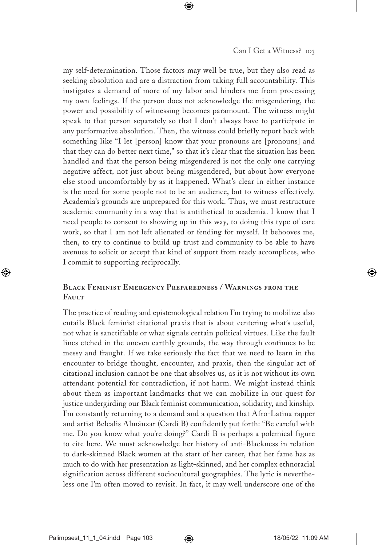my self-determination. Those factors may well be true, but they also read as seeking absolution and are a distraction from taking full accountability. This instigates a demand of more of my labor and hinders me from processing my own feelings. If the person does not acknowledge the misgendering, the power and possibility of witnessing becomes paramount. The witness might speak to that person separately so that I don't always have to participate in any performative absolution. Then, the witness could briefly report back with something like "I let [person] know that your pronouns are [pronouns] and that they can do better next time," so that it's clear that the situation has been handled and that the person being misgendered is not the only one carrying negative affect, not just about being misgendered, but about how everyone else stood uncomfortably by as it happened. What's clear in either instance is the need for some people not to be an audience, but to witness effectively. Academia's grounds are unprepared for this work. Thus, we must restructure academic community in a way that is antithetical to academia. I know that I need people to consent to showing up in this way, to doing this type of care work, so that I am not left alienated or fending for myself. It behooves me, then, to try to continue to build up trust and community to be able to have avenues to solicit or accept that kind of support from ready accomplices, who I commit to supporting reciprocally.

# **Black Feminist Emergency Preparedness / Warnings from the Fault**

The practice of reading and epistemological relation I'm trying to mobilize also entails Black feminist citational praxis that is about centering what's useful, not what is sanctifiable or what signals certain political virtues. Like the fault lines etched in the uneven earthly grounds, the way through continues to be messy and fraught. If we take seriously the fact that we need to learn in the encounter to bridge thought, encounter, and praxis, then the singular act of citational inclusion cannot be one that absolves us, as it is not without its own attendant potential for contradiction, if not harm. We might instead think about them as important landmarks that we can mobilize in our quest for justice undergirding our Black feminist communication, solidarity, and kinship. I'm constantly returning to a demand and a question that Afro-Latina rapper and artist Belcalis Almánzar (Cardi B) confidently put forth: "Be careful with me. Do you know what you're doing?" Cardi B is perhaps a polemical figure to cite here. We must acknowledge her history of anti-Blackness in relation to dark-skinned Black women at the start of her career, that her fame has as much to do with her presentation as light-skinned, and her complex ethnoracial signification across different sociocultural geographies. The lyric is nevertheless one I'm often moved to revisit. In fact, it may well underscore one of the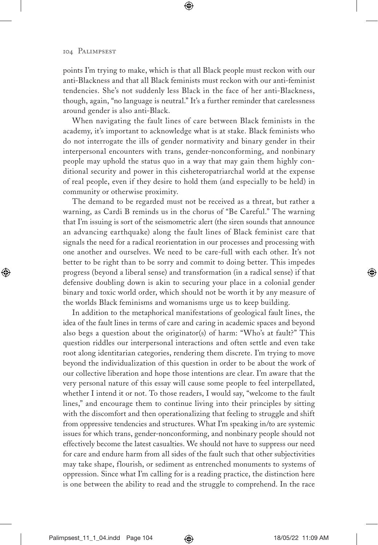points I'm trying to make, which is that all Black people must reckon with our anti-Blackness and that all Black feminists must reckon with our anti-feminist tendencies. She's not suddenly less Black in the face of her anti-Blackness, though, again, "no language is neutral." It's a further reminder that carelessness around gender is also anti-Black.

When navigating the fault lines of care between Black feminists in the academy, it's important to acknowledge what is at stake. Black feminists who do not interrogate the ills of gender normativity and binary gender in their interpersonal encounters with trans, gender-nonconforming, and nonbinary people may uphold the status quo in a way that may gain them highly conditional security and power in this cisheteropatriarchal world at the expense of real people, even if they desire to hold them (and especially to be held) in community or otherwise proximity.

The demand to be regarded must not be received as a threat, but rather a warning, as Cardi B reminds us in the chorus of "Be Careful." The warning that I'm issuing is sort of the seismometric alert (the siren sounds that announce an advancing earthquake) along the fault lines of Black feminist care that signals the need for a radical reorientation in our processes and processing with one another and ourselves. We need to be care-full with each other. It's not better to be right than to be sorry and commit to doing better. This impedes progress (beyond a liberal sense) and transformation (in a radical sense) if that defensive doubling down is akin to securing your place in a colonial gender binary and toxic world order, which should not be worth it by any measure of the worlds Black feminisms and womanisms urge us to keep building.

In addition to the metaphorical manifestations of geological fault lines, the idea of the fault lines in terms of care and caring in academic spaces and beyond also begs a question about the originator(s) of harm: "Who's at fault?" This question riddles our interpersonal interactions and often settle and even take root along identitarian categories, rendering them discrete. I'm trying to move beyond the individualization of this question in order to be about the work of our collective liberation and hope those intentions are clear. I'm aware that the very personal nature of this essay will cause some people to feel interpellated, whether I intend it or not. To those readers, I would say, "welcome to the fault lines," and encourage them to continue living into their principles by sitting with the discomfort and then operationalizing that feeling to struggle and shift from oppressive tendencies and structures. What I'm speaking in/to are systemic issues for which trans, gender-nonconforming, and nonbinary people should not effectively become the latest casualties. We should not have to suppress our need for care and endure harm from all sides of the fault such that other subjectivities may take shape, flourish, or sediment as entrenched monuments to systems of oppression. Since what I'm calling for is a reading practice, the distinction here is one between the ability to read and the struggle to comprehend. In the race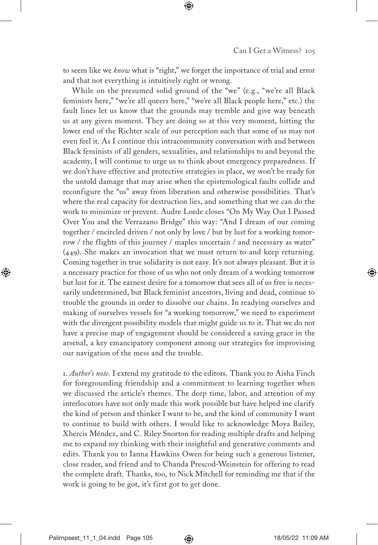to seem like we *know* what is "right," we forget the importance of trial and error and that not everything is intuitively right or wrong.

While on the presumed solid ground of the "we" (e.g., "we're all Black feminists here," "we're all queers here," "we're all Black people here," etc.) the fault lines let us know that the grounds may tremble and give way beneath us at any given moment. They are doing so at this very moment, hitting the lower end of the Richter scale of our perception such that some of us may not even feel it. As I continue this intracommunity conversation with and between Black feminists of all genders, sexualities, and relationships to and beyond the academy, I will continue to urge us to think about emergency preparedness. If we don't have effective and protective strategies in place, we won't be ready for the untold damage that may arise when the epistemological faults collide and reconfigure the "us" away from liberation and otherwise possibilities. That's where the real capacity for destruction lies, and something that we can do the work to minimize or prevent. Audre Lorde closes "On My Way Out I Passed Over You and the Verrazano Bridge" this way: "And I dream of our coming together / encircled driven / not only by love / but by lust for a working tomorrow / the flights of this journey / maples uncertain / and necessary as water" (449). She makes an invocation that we must return to and keep returning. Coming together in true solidarity is not easy. It's not always pleasant. But it is a necessary practice for those of us who not only dream of a working tomorrow but lust for it. The earnest desire for a tomorrow that sees all of us free is necessarily undetermined, but Black feminist ancestors, living and dead, continue to trouble the grounds in order to dissolve our chains. In readying ourselves and making of ourselves vessels for "a working tomorrow," we need to experiment with the divergent possibility models that might guide us to it. That we do not have a precise map of engagement should be considered a saving grace in the arsenal, a key emancipatory component among our strategies for improvising our navigation of the mess and the trouble.

1. *Author's note.* I extend my gratitude to the editors. Thank you to Aisha Finch for foregrounding friendship and a commitment to learning together when we discussed the article's themes. The deep time, labor, and attention of my interlocutors have not only made this work possible but have helped me clarify the kind of person and thinker I want to be, and the kind of community I want to continue to build with others. I would like to acknowledge Moya Bailey, Xhercis Méndez, and C. Riley Snorton for reading multiple drafts and helping me to expand my thinking with their insightful and generative comments and edits. Thank you to Ianna Hawkins Owen for being such a generous listener, close reader, and friend and to Chanda Prescod-Weinstein for offering to read the complete draft. Thanks, too, to Nick Mitchell for reminding me that if the work is going to be got, it's first got to get done.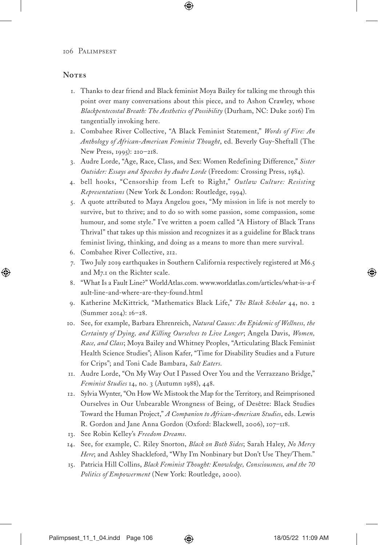## **Notes**

- 1. Thanks to dear friend and Black feminist Moya Bailey for talking me through this point over many conversations about this piece, and to Ashon Crawley, whose *Blackpentecostal Breath: The Aesthetics of Possibility* (Durham, NC: Duke 2016) I'm tangentially invoking here.
- 2. Combahee River Collective, "A Black Feminist Statement," *Words of Fire: An Anthology of African-American Feminist Thought*, ed. Beverly Guy-Sheftall (The New Press, 1995): 210–218.
- 3. Audre Lorde, "Age, Race, Class, and Sex: Women Redefining Difference," *Sister Outsider: Essays and Speeches by Audre Lorde* (Freedom: Crossing Press, 1984).
- 4. bell hooks, "Censorship from Left to Right," *Outlaw Culture: Resisting Representations* (New York & London: Routledge, 1994).
- 5. A quote attributed to Maya Angelou goes, "My mission in life is not merely to survive, but to thrive; and to do so with some passion, some compassion, some humour, and some style." I've written a poem called "A History of Black Trans Thrival" that takes up this mission and recognizes it as a guideline for Black trans feminist living, thinking, and doing as a means to more than mere survival.
- 6. Combahee River Collective, 212.
- 7. Two July 2019 earthquakes in Southern California respectively registered at M6.5 and M7.1 on the Richter scale.
- 8. "What Is a Fault Line?" WorldAtlas.com. www.worldatlas.com/articles/what-is-a-f ault-line-and-where-are-they-found.html
- 9. Katherine McKittrick*,* "Mathematics Black Life," *The Black Scholar* 44, no. 2 (Summer 2014): 16–28.
- 10. See, for example, Barbara Ehrenreich, *Natural Causes: An Epidemic of Wellness, the Certainty of Dying, and Killing Ourselves to Live Longer*; Angela Davis, *Women, Race, and Class*; Moya Bailey and Whitney Peoples, "Articulating Black Feminist Health Science Studies"; Alison Kafer, "Time for Disability Studies and a Future for Crips"; and Toni Cade Bambara, *Salt Eaters*.
- 11. Audre Lorde, "On My Way Out I Passed Over You and the Verrazzano Bridge," *Feminist Studies* 14, no. 3 (Autumn 1988), 448.
- 12. Sylvia Wynter, "On How We Mistook the Map for the Territory, and Reimprisoned Ourselves in Our Unbearable Wrongness of Being, of Desêtre: Black Studies Toward the Human Project," *A Companion to African-American Studies*, eds. Lewis R. Gordon and Jane Anna Gordon (Oxford: Blackwell, 2006), 107–118.
- 13. See Robin Kelley's *Freedom Dreams*.
- 14. See, for example, C. Riley Snorton, *Black on Both Sides*; Sarah Haley, *No Mercy Here*; and Ashley Shackleford, "Why I'm Nonbinary but Don't Use They/Them."
- 15. Patricia Hill Collins, *Black Feminist Thought: Knowledge, Consciousness, and the 70 Politics of Empowerment* (New York: Routledge, 2000).